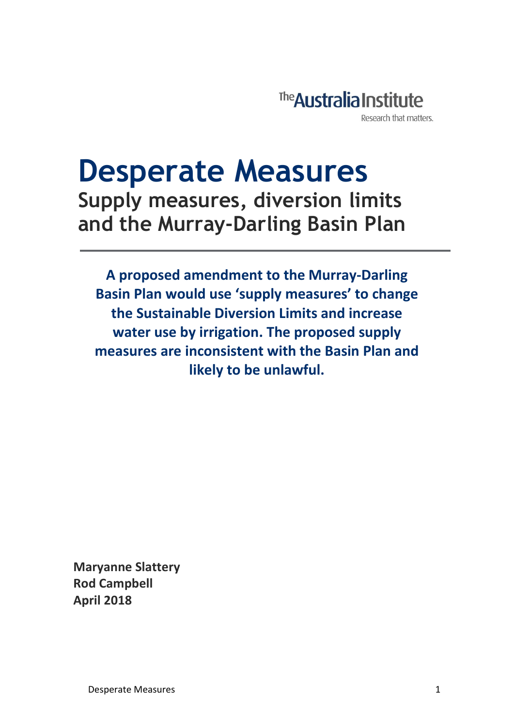

# **Desperate Measures Supply measures, diversion limits and the Murray-Darling Basin Plan**

**A proposed amendment to the Murray-Darling Basin Plan would use 'supply measures' to change the Sustainable Diversion Limits and increase water use by irrigation. The proposed supply measures are inconsistent with the Basin Plan and likely to be unlawful.** 

**Maryanne Slattery Rod Campbell April 2018**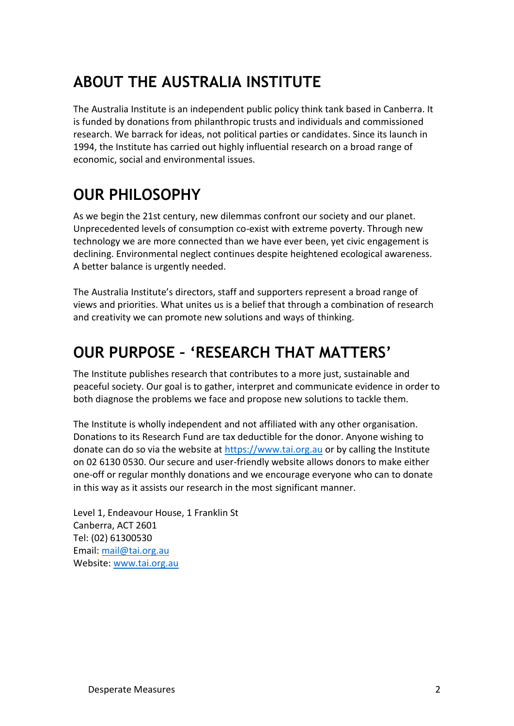## **ABOUT THE AUSTRALIA INSTITUTE**

The Australia Institute is an independent public policy think tank based in Canberra. It is funded by donations from philanthropic trusts and individuals and commissioned research. We barrack for ideas, not political parties or candidates. Since its launch in 1994, the Institute has carried out highly influential research on a broad range of economic, social and environmental issues.

## **OUR PHILOSOPHY**

As we begin the 21st century, new dilemmas confront our society and our planet. Unprecedented levels of consumption co-exist with extreme poverty. Through new technology we are more connected than we have ever been, yet civic engagement is declining. Environmental neglect continues despite heightened ecological awareness. A better balance is urgently needed.

The Australia Institute's directors, staff and supporters represent a broad range of views and priorities. What unites us is a belief that through a combination of research and creativity we can promote new solutions and ways of thinking.

## **OUR PURPOSE – 'RESEARCH THAT MATTERS'**

The Institute publishes research that contributes to a more just, sustainable and peaceful society. Our goal is to gather, interpret and communicate evidence in order to both diagnose the problems we face and propose new solutions to tackle them.

The Institute is wholly independent and not affiliated with any other organisation. Donations to its Research Fund are tax deductible for the donor. Anyone wishing to donate can do so via the website at [https://www.tai.org.au](https://www.tai.org.au/) or by calling the Institute on 02 6130 0530. Our secure and user-friendly website allows donors to make either one-off or regular monthly donations and we encourage everyone who can to donate in this way as it assists our research in the most significant manner.

Level 1, Endeavour House, 1 Franklin St Canberra, ACT 2601 Tel: (02) 61300530 Email: [mail@tai.org.au](mailto:mail@tai.org.au) Website: [www.tai.org.au](http://www.tai.org.au/)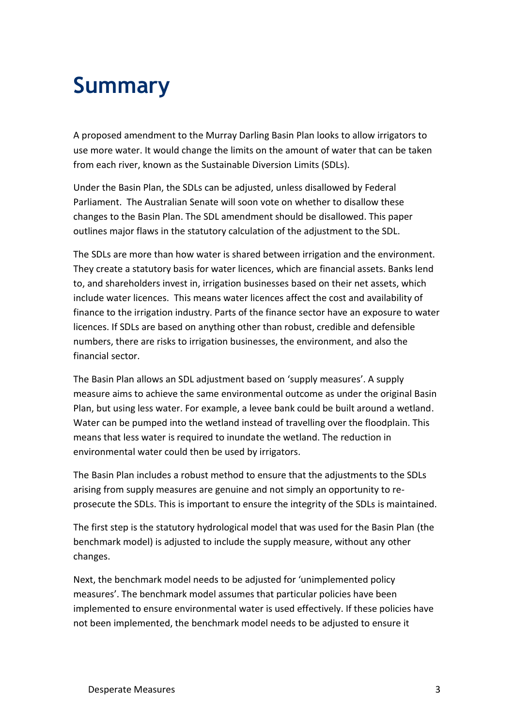# **Summary**

A proposed amendment to the Murray Darling Basin Plan looks to allow irrigators to use more water. It would change the limits on the amount of water that can be taken from each river, known as the Sustainable Diversion Limits (SDLs).

Under the Basin Plan, the SDLs can be adjusted, unless disallowed by Federal Parliament. The Australian Senate will soon vote on whether to disallow these changes to the Basin Plan. The SDL amendment should be disallowed. This paper outlines major flaws in the statutory calculation of the adjustment to the SDL.

The SDLs are more than how water is shared between irrigation and the environment. They create a statutory basis for water licences, which are financial assets. Banks lend to, and shareholders invest in, irrigation businesses based on their net assets, which include water licences. This means water licences affect the cost and availability of finance to the irrigation industry. Parts of the finance sector have an exposure to water licences. If SDLs are based on anything other than robust, credible and defensible numbers, there are risks to irrigation businesses, the environment, and also the financial sector.

The Basin Plan allows an SDL adjustment based on 'supply measures'. A supply measure aims to achieve the same environmental outcome as under the original Basin Plan, but using less water. For example, a levee bank could be built around a wetland. Water can be pumped into the wetland instead of travelling over the floodplain. This means that less water is required to inundate the wetland. The reduction in environmental water could then be used by irrigators.

The Basin Plan includes a robust method to ensure that the adjustments to the SDLs arising from supply measures are genuine and not simply an opportunity to reprosecute the SDLs. This is important to ensure the integrity of the SDLs is maintained.

The first step is the statutory hydrological model that was used for the Basin Plan (the benchmark model) is adjusted to include the supply measure, without any other changes.

Next, the benchmark model needs to be adjusted for 'unimplemented policy measures'. The benchmark model assumes that particular policies have been implemented to ensure environmental water is used effectively. If these policies have not been implemented, the benchmark model needs to be adjusted to ensure it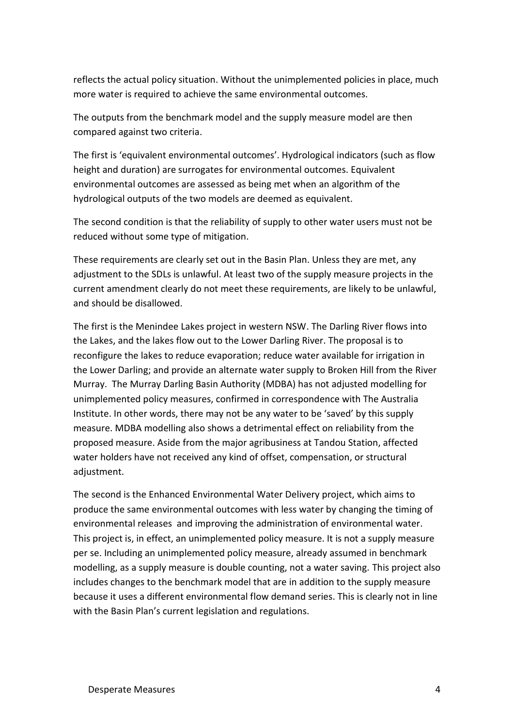reflects the actual policy situation. Without the unimplemented policies in place, much more water is required to achieve the same environmental outcomes.

The outputs from the benchmark model and the supply measure model are then compared against two criteria.

The first is 'equivalent environmental outcomes'. Hydrological indicators (such as flow height and duration) are surrogates for environmental outcomes. Equivalent environmental outcomes are assessed as being met when an algorithm of the hydrological outputs of the two models are deemed as equivalent.

The second condition is that the reliability of supply to other water users must not be reduced without some type of mitigation.

These requirements are clearly set out in the Basin Plan. Unless they are met, any adjustment to the SDLs is unlawful. At least two of the supply measure projects in the current amendment clearly do not meet these requirements, are likely to be unlawful, and should be disallowed.

The first is the Menindee Lakes project in western NSW. The Darling River flows into the Lakes, and the lakes flow out to the Lower Darling River. The proposal is to reconfigure the lakes to reduce evaporation; reduce water available for irrigation in the Lower Darling; and provide an alternate water supply to Broken Hill from the River Murray. The Murray Darling Basin Authority (MDBA) has not adjusted modelling for unimplemented policy measures, confirmed in correspondence with The Australia Institute. In other words, there may not be any water to be 'saved' by this supply measure. MDBA modelling also shows a detrimental effect on reliability from the proposed measure. Aside from the major agribusiness at Tandou Station, affected water holders have not received any kind of offset, compensation, or structural adjustment.

The second is the Enhanced Environmental Water Delivery project, which aims to produce the same environmental outcomes with less water by changing the timing of environmental releases and improving the administration of environmental water. This project is, in effect, an unimplemented policy measure. It is not a supply measure per se. Including an unimplemented policy measure, already assumed in benchmark modelling, as a supply measure is double counting, not a water saving. This project also includes changes to the benchmark model that are in addition to the supply measure because it uses a different environmental flow demand series. This is clearly not in line with the Basin Plan's current legislation and regulations.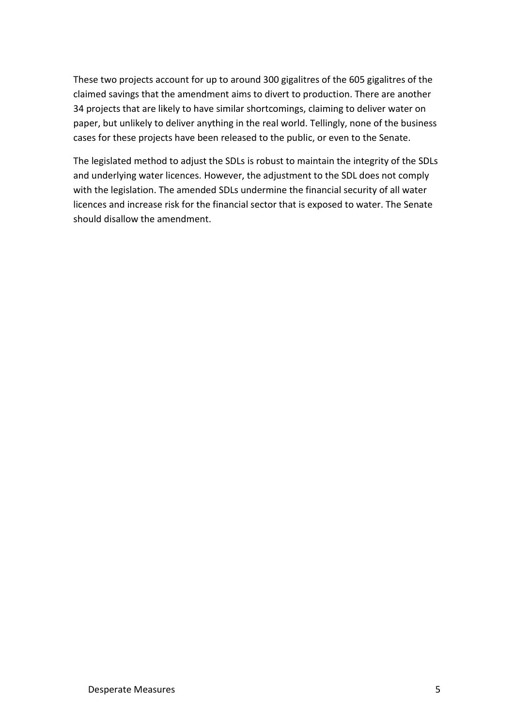These two projects account for up to around 300 gigalitres of the 605 gigalitres of the claimed savings that the amendment aims to divert to production. There are another 34 projects that are likely to have similar shortcomings, claiming to deliver water on paper, but unlikely to deliver anything in the real world. Tellingly, none of the business cases for these projects have been released to the public, or even to the Senate.

The legislated method to adjust the SDLs is robust to maintain the integrity of the SDLs and underlying water licences. However, the adjustment to the SDL does not comply with the legislation. The amended SDLs undermine the financial security of all water licences and increase risk for the financial sector that is exposed to water. The Senate should disallow the amendment.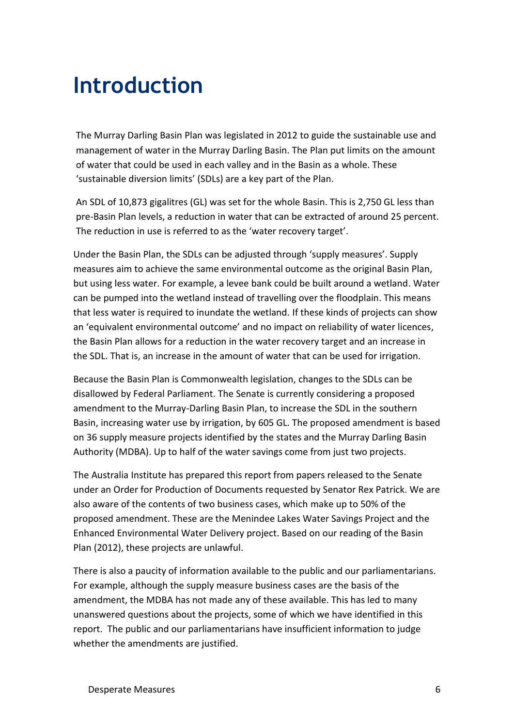# **Introduction**

The Murray Darling Basin Plan was legislated in 2012 to guide the sustainable use and management of water in the Murray Darling Basin. The Plan put limits on the amount of water that could be used in each valley and in the Basin as a whole. These 'sustainable diversion limits' (SDLs) are a key part of the Plan.

An SDL of 10,873 gigalitres (GL) was set for the whole Basin. This is 2,750 GL less than pre-Basin Plan levels, a reduction in water that can be extracted of around 25 percent. The reduction in use is referred to as the 'water recovery target'.

Under the Basin Plan, the SDLs can be adjusted through 'supply measures'. Supply measures aim to achieve the same environmental outcome as the original Basin Plan, but using less water. For example, a levee bank could be built around a wetland. Water can be pumped into the wetland instead of travelling over the floodplain. This means that less water is required to inundate the wetland. If these kinds of projects can show an 'equivalent environmental outcome' and no impact on reliability of water licences, the Basin Plan allows for a reduction in the water recovery target and an increase in the SDL. That is, an increase in the amount of water that can be used for irrigation.

Because the Basin Plan is Commonwealth legislation, changes to the SDLs can be disallowed by Federal Parliament. The Senate is currently considering a proposed amendment to the Murray-Darling Basin Plan, to increase the SDL in the southern Basin, increasing water use by irrigation, by 605 GL. The proposed amendment is based on 36 supply measure projects identified by the states and the Murray Darling Basin Authority (MDBA). Up to half of the water savings come from just two projects.

The Australia Institute has prepared this report from papers released to the Senate under an Order for Production of Documents requested by Senator Rex Patrick. We are also aware of the contents of two business cases, which make up to 50% of the proposed amendment. These are the Menindee Lakes Water Savings Project and the Enhanced Environmental Water Delivery project. Based on our reading of the Basin Plan (2012), these projects are unlawful.

There is also a paucity of information available to the public and our parliamentarians. For example, although the supply measure business cases are the basis of the amendment, the MDBA has not made any of these available. This has led to many unanswered questions about the projects, some of which we have identified in this report. The public and our parliamentarians have insufficient information to judge whether the amendments are justified.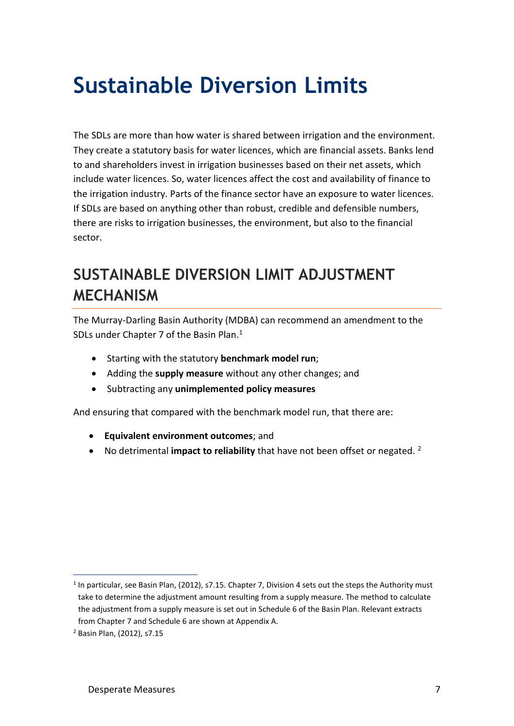# **Sustainable Diversion Limits**

The SDLs are more than how water is shared between irrigation and the environment. They create a statutory basis for water licences, which are financial assets. Banks lend to and shareholders invest in irrigation businesses based on their net assets, which include water licences. So, water licences affect the cost and availability of finance to the irrigation industry. Parts of the finance sector have an exposure to water licences. If SDLs are based on anything other than robust, credible and defensible numbers, there are risks to irrigation businesses, the environment, but also to the financial sector.

## **SUSTAINABLE DIVERSION LIMIT ADJUSTMENT MECHANISM**

The Murray-Darling Basin Authority (MDBA) can recommend an amendment to the SDLs under Chapter 7 of the Basin Plan.<sup>1</sup>

- Starting with the statutory **benchmark model run**;
- Adding the **supply measure** without any other changes; and
- Subtracting any **unimplemented policy measures**

And ensuring that compared with the benchmark model run, that there are:

- **Equivalent environment outcomes**; and
- No detrimental *impact to reliability* that have not been offset or negated. <sup>2</sup>

 $<sup>1</sup>$  In particular, see Basin Plan, (2012), s7.15. Chapter 7, Division 4 sets out the steps the Authority must</sup> take to determine the adjustment amount resulting from a supply measure. The method to calculate the adjustment from a supply measure is set out in Schedule 6 of the Basin Plan. Relevant extracts from Chapter 7 and Schedule 6 are shown at Appendix A.

<sup>2</sup> Basin Plan, (2012), s7.15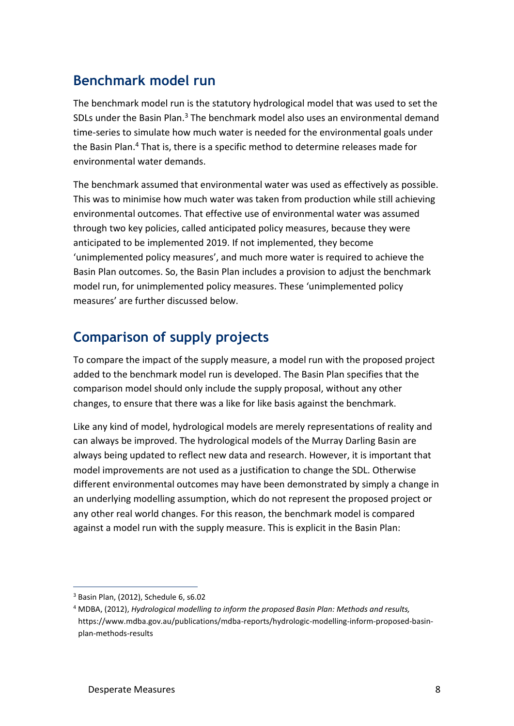### **Benchmark model run**

The benchmark model run is the statutory hydrological model that was used to set the SDLs under the Basin Plan.<sup>3</sup> The benchmark model also uses an environmental demand time-series to simulate how much water is needed for the environmental goals under the Basin Plan. <sup>4</sup> That is, there is a specific method to determine releases made for environmental water demands.

The benchmark assumed that environmental water was used as effectively as possible. This was to minimise how much water was taken from production while still achieving environmental outcomes. That effective use of environmental water was assumed through two key policies, called anticipated policy measures, because they were anticipated to be implemented 2019. If not implemented, they become 'unimplemented policy measures', and much more water is required to achieve the Basin Plan outcomes. So, the Basin Plan includes a provision to adjust the benchmark model run, for unimplemented policy measures. These 'unimplemented policy measures' are further discussed below.

### **Comparison of supply projects**

To compare the impact of the supply measure, a model run with the proposed project added to the benchmark model run is developed. The Basin Plan specifies that the comparison model should only include the supply proposal, without any other changes, to ensure that there was a like for like basis against the benchmark.

Like any kind of model, hydrological models are merely representations of reality and can always be improved. The hydrological models of the Murray Darling Basin are always being updated to reflect new data and research. However, it is important that model improvements are not used as a justification to change the SDL. Otherwise different environmental outcomes may have been demonstrated by simply a change in an underlying modelling assumption, which do not represent the proposed project or any other real world changes. For this reason, the benchmark model is compared against a model run with the supply measure. This is explicit in the Basin Plan:

<sup>3</sup> Basin Plan, (2012), Schedule 6, s6.02

<sup>4</sup> MDBA, (2012), *Hydrological modelling to inform the proposed Basin Plan: Methods and results,*  https://www.mdba.gov.au/publications/mdba-reports/hydrologic-modelling-inform-proposed-basinplan-methods-results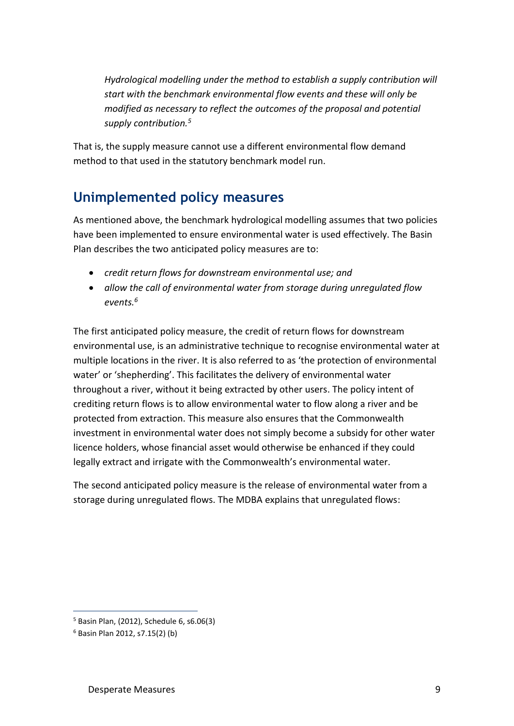*Hydrological modelling under the method to establish a supply contribution will start with the benchmark environmental flow events and these will only be modified as necessary to reflect the outcomes of the proposal and potential supply contribution.<sup>5</sup>* 

That is, the supply measure cannot use a different environmental flow demand method to that used in the statutory benchmark model run.

### **Unimplemented policy measures**

As mentioned above, the benchmark hydrological modelling assumes that two policies have been implemented to ensure environmental water is used effectively. The Basin Plan describes the two anticipated policy measures are to:

- *credit return flows for downstream environmental use; and*
- *allow the call of environmental water from storage during unregulated flow events. 6*

The first anticipated policy measure, the credit of return flows for downstream environmental use, is an administrative technique to recognise environmental water at multiple locations in the river. It is also referred to as 'the protection of environmental water' or 'shepherding'. This facilitates the delivery of environmental water throughout a river, without it being extracted by other users. The policy intent of crediting return flows is to allow environmental water to flow along a river and be protected from extraction. This measure also ensures that the Commonwealth investment in environmental water does not simply become a subsidy for other water licence holders, whose financial asset would otherwise be enhanced if they could legally extract and irrigate with the Commonwealth's environmental water.

The second anticipated policy measure is the release of environmental water from a storage during unregulated flows. The MDBA explains that unregulated flows:

<sup>5</sup> Basin Plan, (2012), Schedule 6, s6.06(3)

<sup>6</sup> Basin Plan 2012, s7.15(2) (b)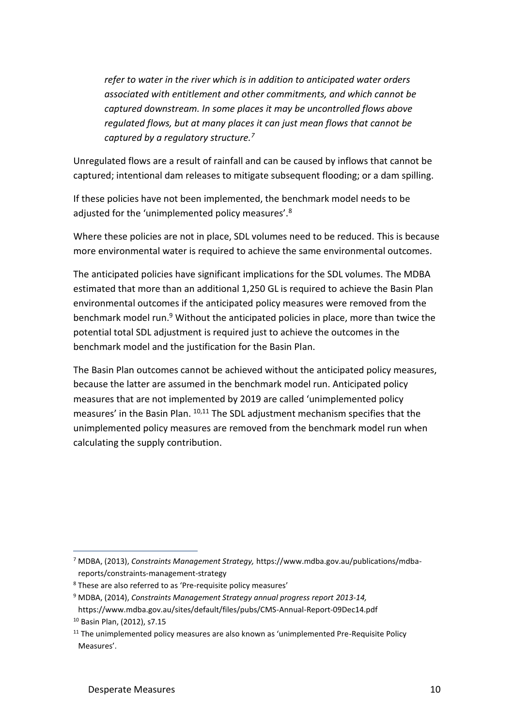*refer to water in the river which is in addition to anticipated water orders associated with entitlement and other commitments, and which cannot be captured downstream. In some places it may be uncontrolled flows above regulated flows, but at many places it can just mean flows that cannot be captured by a regulatory structure.<sup>7</sup>*

Unregulated flows are a result of rainfall and can be caused by inflows that cannot be captured; intentional dam releases to mitigate subsequent flooding; or a dam spilling.

If these policies have not been implemented, the benchmark model needs to be adjusted for the 'unimplemented policy measures'.<sup>8</sup>

Where these policies are not in place, SDL volumes need to be reduced. This is because more environmental water is required to achieve the same environmental outcomes.

The anticipated policies have significant implications for the SDL volumes. The MDBA estimated that more than an additional 1,250 GL is required to achieve the Basin Plan environmental outcomes if the anticipated policy measures were removed from the benchmark model run.<sup>9</sup> Without the anticipated policies in place, more than twice the potential total SDL adjustment is required just to achieve the outcomes in the benchmark model and the justification for the Basin Plan.

The Basin Plan outcomes cannot be achieved without the anticipated policy measures, because the latter are assumed in the benchmark model run. Anticipated policy measures that are not implemented by 2019 are called 'unimplemented policy measures' in the Basin Plan. 10,11 The SDL adjustment mechanism specifies that the unimplemented policy measures are removed from the benchmark model run when calculating the supply contribution.

<sup>7</sup> MDBA, (2013), *Constraints Management Strategy,* https://www.mdba.gov.au/publications/mdbareports/constraints-management-strategy

<sup>&</sup>lt;sup>8</sup> These are also referred to as 'Pre-requisite policy measures'

<sup>9</sup> MDBA, (2014), *Constraints Management Strategy annual progress report 2013-14,* 

https://www.mdba.gov.au/sites/default/files/pubs/CMS-Annual-Report-09Dec14.pdf <sup>10</sup> Basin Plan, (2012), s7.15

 $11$  The unimplemented policy measures are also known as 'unimplemented Pre-Requisite Policy Measures'.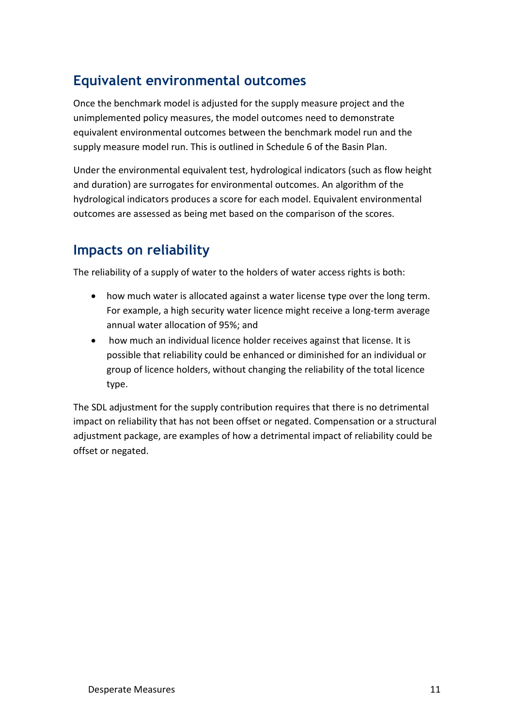### **Equivalent environmental outcomes**

Once the benchmark model is adjusted for the supply measure project and the unimplemented policy measures, the model outcomes need to demonstrate equivalent environmental outcomes between the benchmark model run and the supply measure model run. This is outlined in Schedule 6 of the Basin Plan.

Under the environmental equivalent test, hydrological indicators (such as flow height and duration) are surrogates for environmental outcomes. An algorithm of the hydrological indicators produces a score for each model. Equivalent environmental outcomes are assessed as being met based on the comparison of the scores.

### **Impacts on reliability**

The reliability of a supply of water to the holders of water access rights is both:

- how much water is allocated against a water license type over the long term. For example, a high security water licence might receive a long-term average annual water allocation of 95%; and
- how much an individual licence holder receives against that license. It is possible that reliability could be enhanced or diminished for an individual or group of licence holders, without changing the reliability of the total licence type.

The SDL adjustment for the supply contribution requires that there is no detrimental impact on reliability that has not been offset or negated. Compensation or a structural adjustment package, are examples of how a detrimental impact of reliability could be offset or negated.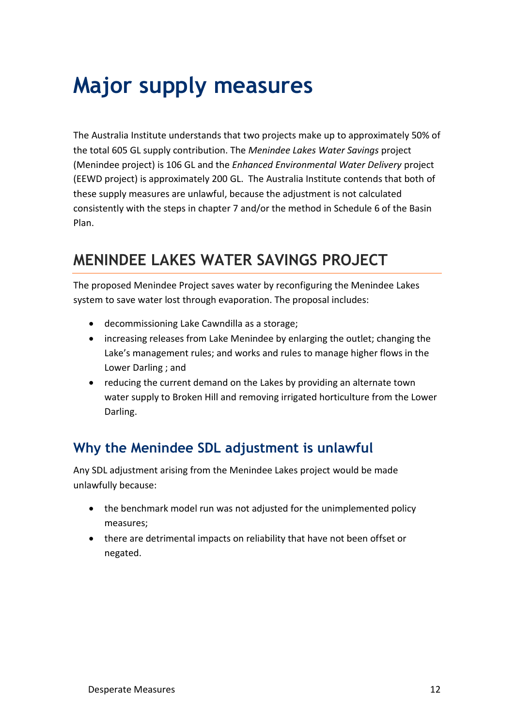# **Major supply measures**

The Australia Institute understands that two projects make up to approximately 50% of the total 605 GL supply contribution. The *Menindee Lakes Water Savings* project (Menindee project) is 106 GL and the *Enhanced Environmental Water Delivery* project (EEWD project) is approximately 200 GL. The Australia Institute contends that both of these supply measures are unlawful, because the adjustment is not calculated consistently with the steps in chapter 7 and/or the method in Schedule 6 of the Basin Plan.

## **MENINDEE LAKES WATER SAVINGS PROJECT**

The proposed Menindee Project saves water by reconfiguring the Menindee Lakes system to save water lost through evaporation. The proposal includes:

- decommissioning Lake Cawndilla as a storage;
- increasing releases from Lake Menindee by enlarging the outlet; changing the Lake's management rules; and works and rules to manage higher flows in the Lower Darling ; and
- reducing the current demand on the Lakes by providing an alternate town water supply to Broken Hill and removing irrigated horticulture from the Lower Darling.

### **Why the Menindee SDL adjustment is unlawful**

Any SDL adjustment arising from the Menindee Lakes project would be made unlawfully because:

- the benchmark model run was not adjusted for the unimplemented policy measures;
- there are detrimental impacts on reliability that have not been offset or negated.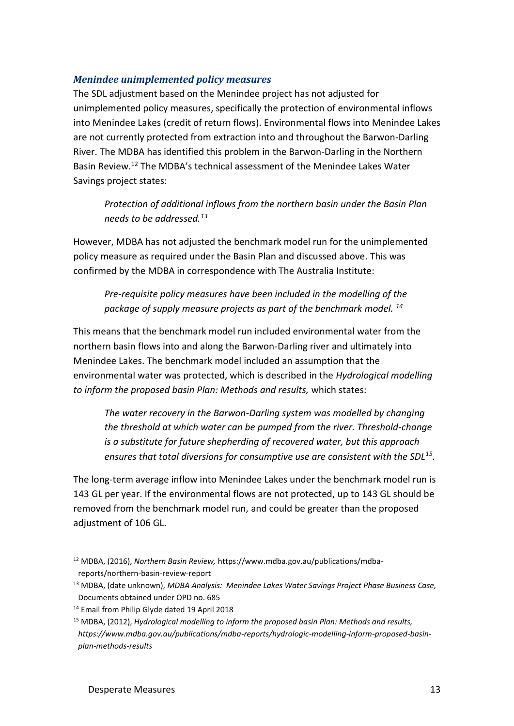#### *Menindee unimplemented policy measures*

The SDL adjustment based on the Menindee project has not adjusted for unimplemented policy measures, specifically the protection of environmental inflows into Menindee Lakes (credit of return flows). Environmental flows into Menindee Lakes are not currently protected from extraction into and throughout the Barwon-Darling River. The MDBA has identified this problem in the Barwon-Darling in the Northern Basin Review. <sup>12</sup> The MDBA's technical assessment of the Menindee Lakes Water Savings project states:

*Protection of additional inflows from the northern basin under the Basin Plan needs to be addressed.<sup>13</sup>*

However, MDBA has not adjusted the benchmark model run for the unimplemented policy measure as required under the Basin Plan and discussed above. This was confirmed by the MDBA in correspondence with The Australia Institute:

*Pre-requisite policy measures have been included in the modelling of the package of supply measure projects as part of the benchmark model. <sup>14</sup>*

This means that the benchmark model run included environmental water from the northern basin flows into and along the Barwon-Darling river and ultimately into Menindee Lakes. The benchmark model included an assumption that the environmental water was protected, which is described in the *Hydrological modelling to inform the proposed basin Plan: Methods and results,* which states:

*The water recovery in the Barwon-Darling system was modelled by changing the threshold at which water can be pumped from the river. Threshold-change is a substitute for future shepherding of recovered water, but this approach ensures that total diversions for consumptive use are consistent with the SDL<sup>15</sup> .* 

The long-term average inflow into Menindee Lakes under the benchmark model run is 143 GL per year. If the environmental flows are not protected, up to 143 GL should be removed from the benchmark model run, and could be greater than the proposed adjustment of 106 GL.

<sup>12</sup> MDBA, (2016), *Northern Basin Review,* https://www.mdba.gov.au/publications/mdbareports/northern-basin-review-report

<sup>13</sup> MDBA, (date unknown), *MDBA Analysis: Menindee Lakes Water Savings Project Phase Business Case,*  Documents obtained under OPD no. 685

<sup>&</sup>lt;sup>14</sup> Email from Philip Glyde dated 19 April 2018

<sup>15</sup> MDBA, (2012), *Hydrological modelling to inform the proposed basin Plan: Methods and results, https://www.mdba.gov.au/publications/mdba-reports/hydrologic-modelling-inform-proposed-basinplan-methods-results*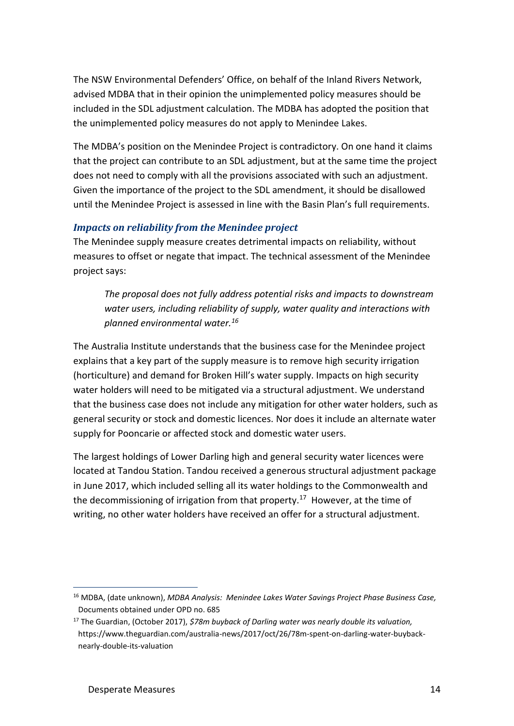The NSW Environmental Defenders' Office, on behalf of the Inland Rivers Network, advised MDBA that in their opinion the unimplemented policy measures should be included in the SDL adjustment calculation. The MDBA has adopted the position that the unimplemented policy measures do not apply to Menindee Lakes.

The MDBA's position on the Menindee Project is contradictory. On one hand it claims that the project can contribute to an SDL adjustment, but at the same time the project does not need to comply with all the provisions associated with such an adjustment. Given the importance of the project to the SDL amendment, it should be disallowed until the Menindee Project is assessed in line with the Basin Plan's full requirements.

#### *Impacts on reliability from the Menindee project*

The Menindee supply measure creates detrimental impacts on reliability, without measures to offset or negate that impact. The technical assessment of the Menindee project says:

*The proposal does not fully address potential risks and impacts to downstream water users, including reliability of supply, water quality and interactions with planned environmental water.<sup>16</sup>*

The Australia Institute understands that the business case for the Menindee project explains that a key part of the supply measure is to remove high security irrigation (horticulture) and demand for Broken Hill's water supply. Impacts on high security water holders will need to be mitigated via a structural adjustment. We understand that the business case does not include any mitigation for other water holders, such as general security or stock and domestic licences. Nor does it include an alternate water supply for Pooncarie or affected stock and domestic water users.

The largest holdings of Lower Darling high and general security water licences were located at Tandou Station. Tandou received a generous structural adjustment package in June 2017, which included selling all its water holdings to the Commonwealth and the decommissioning of irrigation from that property.<sup>17</sup> However, at the time of writing, no other water holders have received an offer for a structural adjustment.

<sup>16</sup> MDBA, (date unknown), *MDBA Analysis: Menindee Lakes Water Savings Project Phase Business Case,*  Documents obtained under OPD no. 685

<sup>17</sup> The Guardian, (October 2017), *\$78m buyback of Darling water was nearly double its valuation,*  https://www.theguardian.com/australia-news/2017/oct/26/78m-spent-on-darling-water-buybacknearly-double-its-valuation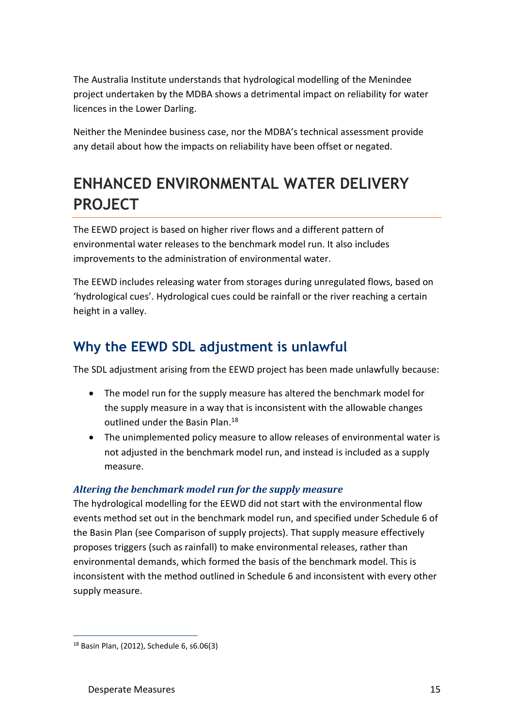The Australia Institute understands that hydrological modelling of the Menindee project undertaken by the MDBA shows a detrimental impact on reliability for water licences in the Lower Darling.

Neither the Menindee business case, nor the MDBA's technical assessment provide any detail about how the impacts on reliability have been offset or negated.

## **ENHANCED ENVIRONMENTAL WATER DELIVERY PROJECT**

The EEWD project is based on higher river flows and a different pattern of environmental water releases to the benchmark model run. It also includes improvements to the administration of environmental water.

The EEWD includes releasing water from storages during unregulated flows, based on 'hydrological cues'. Hydrological cues could be rainfall or the river reaching a certain height in a valley.

### **Why the EEWD SDL adjustment is unlawful**

The SDL adjustment arising from the EEWD project has been made unlawfully because:

- The model run for the supply measure has altered the benchmark model for the supply measure in a way that is inconsistent with the allowable changes outlined under the Basin Plan.<sup>18</sup>
- The unimplemented policy measure to allow releases of environmental water is not adjusted in the benchmark model run, and instead is included as a supply measure.

#### *Altering the benchmark model run for the supply measure*

The hydrological modelling for the EEWD did not start with the environmental flow events method set out in the benchmark model run, and specified under Schedule 6 of the Basin Plan (see Comparison of supply projects). That supply measure effectively proposes triggers (such as rainfall) to make environmental releases, rather than environmental demands, which formed the basis of the benchmark model. This is inconsistent with the method outlined in Schedule 6 and inconsistent with every other supply measure.

<sup>18</sup> Basin Plan, (2012), Schedule 6, s6.06(3)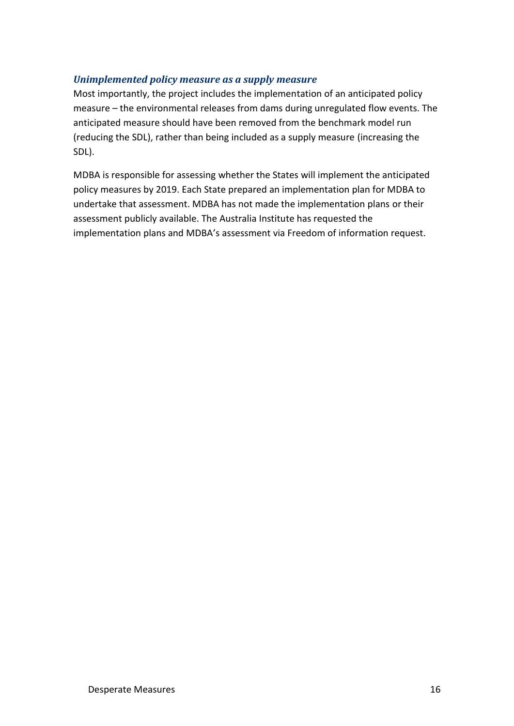#### *Unimplemented policy measure as a supply measure*

Most importantly, the project includes the implementation of an anticipated policy measure – the environmental releases from dams during unregulated flow events. The anticipated measure should have been removed from the benchmark model run (reducing the SDL), rather than being included as a supply measure (increasing the SDL).

MDBA is responsible for assessing whether the States will implement the anticipated policy measures by 2019. Each State prepared an implementation plan for MDBA to undertake that assessment. MDBA has not made the implementation plans or their assessment publicly available. The Australia Institute has requested the implementation plans and MDBA's assessment via Freedom of information request.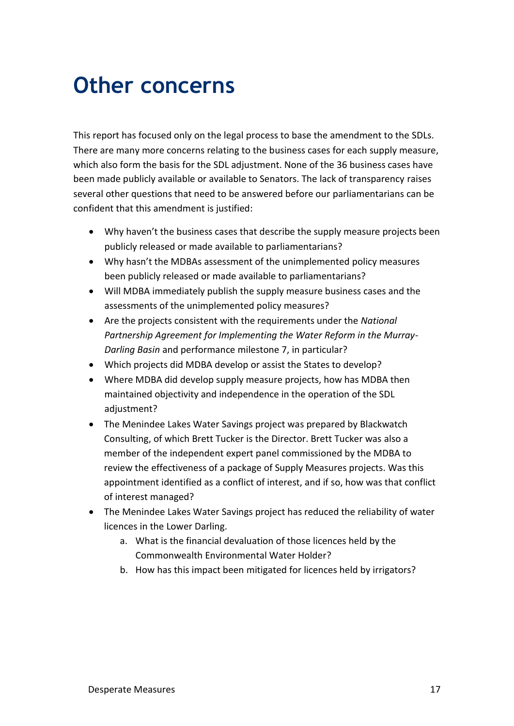## **Other concerns**

This report has focused only on the legal process to base the amendment to the SDLs. There are many more concerns relating to the business cases for each supply measure, which also form the basis for the SDL adjustment. None of the 36 business cases have been made publicly available or available to Senators. The lack of transparency raises several other questions that need to be answered before our parliamentarians can be confident that this amendment is justified:

- Why haven't the business cases that describe the supply measure projects been publicly released or made available to parliamentarians?
- Why hasn't the MDBAs assessment of the unimplemented policy measures been publicly released or made available to parliamentarians?
- Will MDBA immediately publish the supply measure business cases and the assessments of the unimplemented policy measures?
- Are the projects consistent with the requirements under the *National Partnership Agreement for Implementing the Water Reform in the Murray-Darling Basin* and performance milestone 7, in particular?
- Which projects did MDBA develop or assist the States to develop?
- Where MDBA did develop supply measure projects, how has MDBA then maintained objectivity and independence in the operation of the SDL adjustment?
- The Menindee Lakes Water Savings project was prepared by Blackwatch Consulting, of which Brett Tucker is the Director. Brett Tucker was also a member of the independent expert panel commissioned by the MDBA to review the effectiveness of a package of Supply Measures projects. Was this appointment identified as a conflict of interest, and if so, how was that conflict of interest managed?
- The Menindee Lakes Water Savings project has reduced the reliability of water licences in the Lower Darling.
	- a. What is the financial devaluation of those licences held by the Commonwealth Environmental Water Holder?
	- b. How has this impact been mitigated for licences held by irrigators?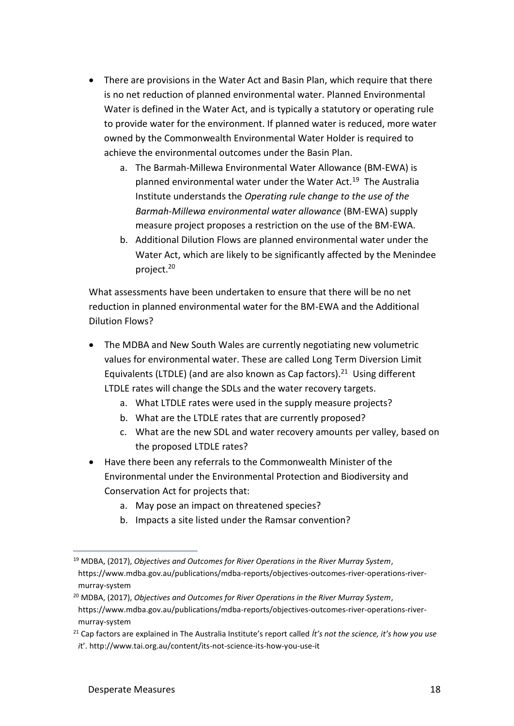- There are provisions in the Water Act and Basin Plan, which require that there is no net reduction of planned environmental water. Planned Environmental Water is defined in the Water Act, and is typically a statutory or operating rule to provide water for the environment. If planned water is reduced, more water owned by the Commonwealth Environmental Water Holder is required to achieve the environmental outcomes under the Basin Plan.
	- a. The Barmah-Millewa Environmental Water Allowance (BM-EWA) is planned environmental water under the Water Act.<sup>19</sup> The Australia Institute understands the *Operating rule change to the use of the Barmah-Millewa environmental water allowance* (BM-EWA) supply measure project proposes a restriction on the use of the BM-EWA.
	- b. Additional Dilution Flows are planned environmental water under the Water Act, which are likely to be significantly affected by the Menindee project.<sup>20</sup>

What assessments have been undertaken to ensure that there will be no net reduction in planned environmental water for the BM-EWA and the Additional Dilution Flows?

- The MDBA and New South Wales are currently negotiating new volumetric values for environmental water. These are called Long Term Diversion Limit Equivalents (LTDLE) (and are also known as Cap factors). $^{21}$  Using different LTDLE rates will change the SDLs and the water recovery targets.
	- a. What LTDLE rates were used in the supply measure projects?
	- b. What are the LTDLE rates that are currently proposed?
	- c. What are the new SDL and water recovery amounts per valley, based on the proposed LTDLE rates?
- Have there been any referrals to the Commonwealth Minister of the Environmental under the Environmental Protection and Biodiversity and Conservation Act for projects that:
	- a. May pose an impact on threatened species?
	- b. Impacts a site listed under the Ramsar convention?

<sup>19</sup> MDBA, (2017), *Objectives and Outcomes for River Operations in the River Murray System*, https://www.mdba.gov.au/publications/mdba-reports/objectives-outcomes-river-operations-rivermurray-system

<sup>20</sup> MDBA, (2017), *Objectives and Outcomes for River Operations in the River Murray System*, https://www.mdba.gov.au/publications/mdba-reports/objectives-outcomes-river-operations-rivermurray-system

<sup>21</sup> Cap factors are explained in The Australia Institute's report called *Ít's not the science, it's how you use i*t'. http://www.tai.org.au/content/its-not-science-its-how-you-use-it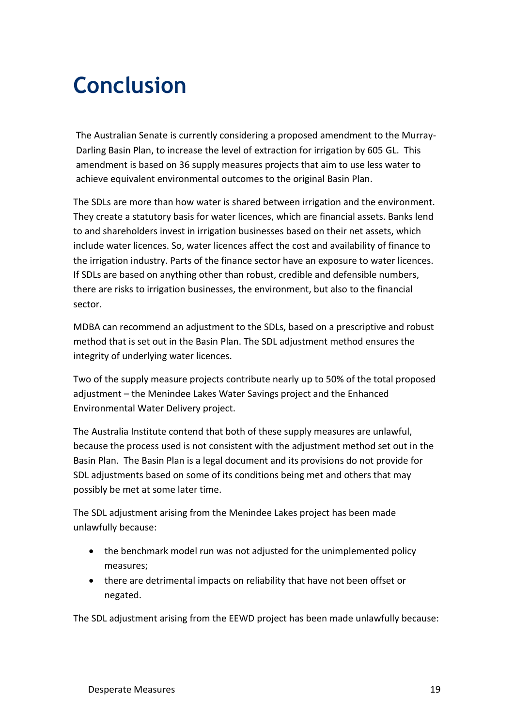# **Conclusion**

The Australian Senate is currently considering a proposed amendment to the Murray-Darling Basin Plan, to increase the level of extraction for irrigation by 605 GL. This amendment is based on 36 supply measures projects that aim to use less water to achieve equivalent environmental outcomes to the original Basin Plan.

The SDLs are more than how water is shared between irrigation and the environment. They create a statutory basis for water licences, which are financial assets. Banks lend to and shareholders invest in irrigation businesses based on their net assets, which include water licences. So, water licences affect the cost and availability of finance to the irrigation industry. Parts of the finance sector have an exposure to water licences. If SDLs are based on anything other than robust, credible and defensible numbers, there are risks to irrigation businesses, the environment, but also to the financial sector.

MDBA can recommend an adjustment to the SDLs, based on a prescriptive and robust method that is set out in the Basin Plan. The SDL adjustment method ensures the integrity of underlying water licences.

Two of the supply measure projects contribute nearly up to 50% of the total proposed adjustment – the Menindee Lakes Water Savings project and the Enhanced Environmental Water Delivery project.

The Australia Institute contend that both of these supply measures are unlawful, because the process used is not consistent with the adjustment method set out in the Basin Plan. The Basin Plan is a legal document and its provisions do not provide for SDL adjustments based on some of its conditions being met and others that may possibly be met at some later time.

The SDL adjustment arising from the Menindee Lakes project has been made unlawfully because:

- the benchmark model run was not adjusted for the unimplemented policy measures;
- there are detrimental impacts on reliability that have not been offset or negated.

The SDL adjustment arising from the EEWD project has been made unlawfully because: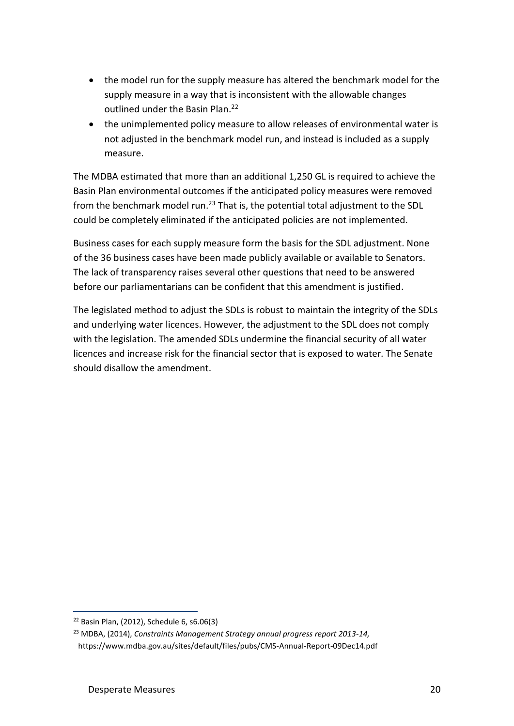- the model run for the supply measure has altered the benchmark model for the supply measure in a way that is inconsistent with the allowable changes outlined under the Basin Plan.<sup>22</sup>
- the unimplemented policy measure to allow releases of environmental water is not adjusted in the benchmark model run, and instead is included as a supply measure.

The MDBA estimated that more than an additional 1,250 GL is required to achieve the Basin Plan environmental outcomes if the anticipated policy measures were removed from the benchmark model run.<sup>23</sup> That is, the potential total adjustment to the SDL could be completely eliminated if the anticipated policies are not implemented.

Business cases for each supply measure form the basis for the SDL adjustment. None of the 36 business cases have been made publicly available or available to Senators. The lack of transparency raises several other questions that need to be answered before our parliamentarians can be confident that this amendment is justified.

The legislated method to adjust the SDLs is robust to maintain the integrity of the SDLs and underlying water licences. However, the adjustment to the SDL does not comply with the legislation. The amended SDLs undermine the financial security of all water licences and increase risk for the financial sector that is exposed to water. The Senate should disallow the amendment.

<sup>22</sup> Basin Plan, (2012), Schedule 6, s6.06(3)

<sup>23</sup> MDBA, (2014), *Constraints Management Strategy annual progress report 2013-14,*  https://www.mdba.gov.au/sites/default/files/pubs/CMS-Annual-Report-09Dec14.pdf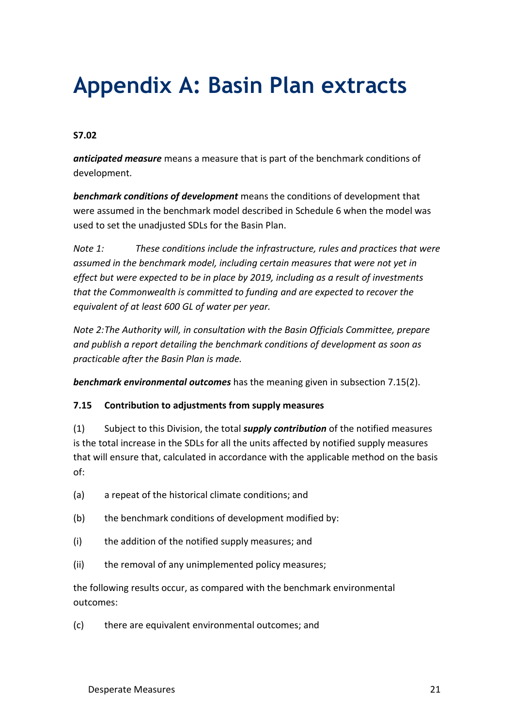# **Appendix A: Basin Plan extracts**

#### **S7.02**

*anticipated measure* means a measure that is part of the benchmark conditions of development.

*benchmark conditions of development* means the conditions of development that were assumed in the benchmark model described in Schedule 6 when the model was used to set the unadjusted SDLs for the Basin Plan.

*Note 1: These conditions include the infrastructure, rules and practices that were assumed in the benchmark model, including certain measures that were not yet in effect but were expected to be in place by 2019, including as a result of investments that the Commonwealth is committed to funding and are expected to recover the equivalent of at least 600 GL of water per year.*

*Note 2:The Authority will, in consultation with the Basin Officials Committee, prepare and publish a report detailing the benchmark conditions of development as soon as practicable after the Basin Plan is made.*

*benchmark environmental outcomes* has the meaning given in subsection 7.15(2).

#### **7.15 Contribution to adjustments from supply measures**

(1) Subject to this Division, the total *supply contribution* of the notified measures is the total increase in the SDLs for all the units affected by notified supply measures that will ensure that, calculated in accordance with the applicable method on the basis of:

- (a) a repeat of the historical climate conditions; and
- (b) the benchmark conditions of development modified by:
- (i) the addition of the notified supply measures; and
- (ii) the removal of any unimplemented policy measures;

the following results occur, as compared with the benchmark environmental outcomes:

(c) there are equivalent environmental outcomes; and